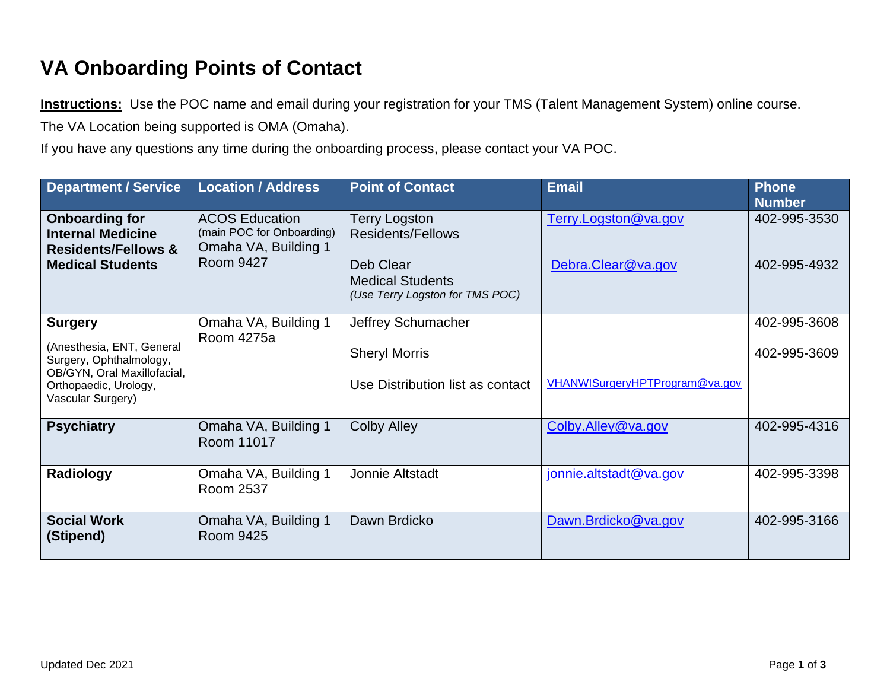## **VA Onboarding Points of Contact**

**Instructions:** Use the POC name and email during your registration for your TMS (Talent Management System) online course.

The VA Location being supported is OMA (Omaha).

If you have any questions any time during the onboarding process, please contact your VA POC.

| <b>Department / Service</b>                                                                                                                         | <b>Location / Address</b>                                                               | <b>Point of Contact</b>                                                                                                     | <b>Email</b>                               | <b>Phone</b><br><b>Number</b> |
|-----------------------------------------------------------------------------------------------------------------------------------------------------|-----------------------------------------------------------------------------------------|-----------------------------------------------------------------------------------------------------------------------------|--------------------------------------------|-------------------------------|
| <b>Onboarding for</b><br><b>Internal Medicine</b><br><b>Residents/Fellows &amp;</b><br><b>Medical Students</b>                                      | <b>ACOS Education</b><br>(main POC for Onboarding)<br>Omaha VA, Building 1<br>Room 9427 | <b>Terry Logston</b><br><b>Residents/Fellows</b><br>Deb Clear<br><b>Medical Students</b><br>(Use Terry Logston for TMS POC) | Terry.Logston@va.gov<br>Debra.Clear@va.gov | 402-995-3530<br>402-995-4932  |
| <b>Surgery</b><br>(Anesthesia, ENT, General<br>Surgery, Ophthalmology,<br>OB/GYN, Oral Maxillofacial,<br>Orthopaedic, Urology,<br>Vascular Surgery) | Omaha VA, Building 1<br>Room 4275a                                                      | Jeffrey Schumacher<br><b>Sheryl Morris</b><br>Use Distribution list as contact                                              | VHANWISurgeryHPTProgram@va.gov             | 402-995-3608<br>402-995-3609  |
| <b>Psychiatry</b>                                                                                                                                   | Omaha VA, Building 1<br>Room 11017                                                      | <b>Colby Alley</b>                                                                                                          | Colby.Alley@va.gov                         | 402-995-4316                  |
| Radiology                                                                                                                                           | Omaha VA, Building 1<br>Room 2537                                                       | Jonnie Altstadt                                                                                                             | jonnie.altstadt@va.gov                     | 402-995-3398                  |
| <b>Social Work</b><br>(Stipend)                                                                                                                     | Omaha VA, Building 1<br><b>Room 9425</b>                                                | Dawn Brdicko                                                                                                                | Dawn.Brdicko@va.gov                        | 402-995-3166                  |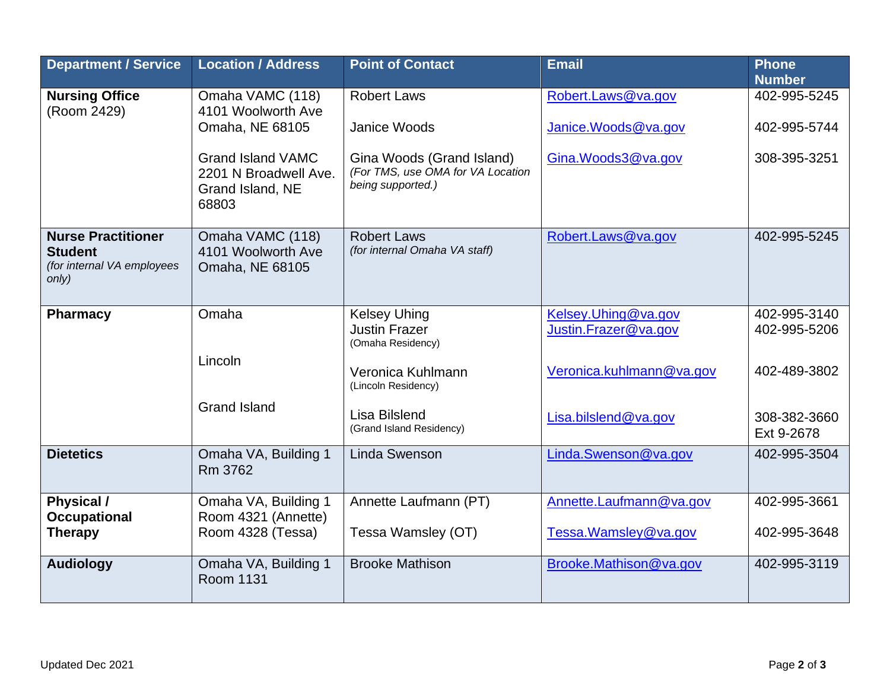| <b>Department / Service</b>                                                        | <b>Location / Address</b>                                                      | <b>Point of Contact</b>                                                             | <b>Email</b>                                | <b>Phone</b><br><b>Number</b> |
|------------------------------------------------------------------------------------|--------------------------------------------------------------------------------|-------------------------------------------------------------------------------------|---------------------------------------------|-------------------------------|
| <b>Nursing Office</b><br>(Room 2429)                                               | Omaha VAMC (118)                                                               | <b>Robert Laws</b>                                                                  | Robert.Laws@va.gov                          | 402-995-5245                  |
|                                                                                    | 4101 Woolworth Ave<br>Omaha, NE 68105                                          | <b>Janice Woods</b>                                                                 | Janice. Woods@va.gov                        | 402-995-5744                  |
|                                                                                    | <b>Grand Island VAMC</b><br>2201 N Broadwell Ave.<br>Grand Island, NE<br>68803 | Gina Woods (Grand Island)<br>(For TMS, use OMA for VA Location<br>being supported.) | Gina.Woods3@va.gov                          | 308-395-3251                  |
| <b>Nurse Practitioner</b><br><b>Student</b><br>(for internal VA employees<br>only) | Omaha VAMC (118)<br>4101 Woolworth Ave<br>Omaha, NE 68105                      | <b>Robert Laws</b><br>(for internal Omaha VA staff)                                 | Robert.Laws@va.gov                          | 402-995-5245                  |
| <b>Pharmacy</b>                                                                    | Omaha                                                                          | <b>Kelsey Uhing</b><br><b>Justin Frazer</b><br>(Omaha Residency)                    | Kelsey.Uhing@va.gov<br>Justin.Frazer@va.gov | 402-995-3140<br>402-995-5206  |
|                                                                                    | Lincoln                                                                        | Veronica Kuhlmann<br>(Lincoln Residency)                                            | Veronica.kuhlmann@va.gov                    | 402-489-3802                  |
|                                                                                    | <b>Grand Island</b>                                                            | Lisa Bilslend<br>(Grand Island Residency)                                           | Lisa.bilslend@va.gov                        | 308-382-3660<br>Ext 9-2678    |
| <b>Dietetics</b>                                                                   | Omaha VA, Building 1<br>Rm 3762                                                | <b>Linda Swenson</b>                                                                | Linda.Swenson@va.gov                        | 402-995-3504                  |
| Physical /                                                                         | Omaha VA, Building 1                                                           | Annette Laufmann (PT)                                                               | Annette.Laufmann@va.gov                     | 402-995-3661                  |
| <b>Occupational</b><br><b>Therapy</b>                                              | Room 4321 (Annette)<br>Room 4328 (Tessa)                                       | Tessa Wamsley (OT)                                                                  | Tessa. Wamsley@va.gov                       | 402-995-3648                  |
| <b>Audiology</b>                                                                   | Omaha VA, Building 1<br><b>Room 1131</b>                                       | <b>Brooke Mathison</b>                                                              | Brooke.Mathison@va.gov                      | 402-995-3119                  |